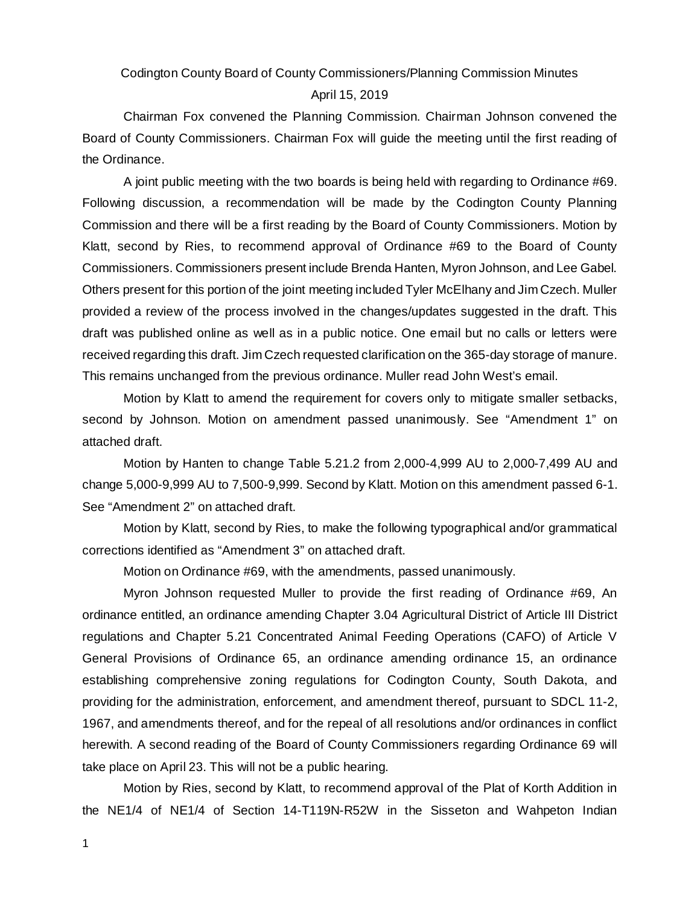Codington County Board of County Commissioners/Planning Commission Minutes

#### April 15, 2019

Chairman Fox convened the Planning Commission. Chairman Johnson convened the Board of County Commissioners. Chairman Fox will guide the meeting until the first reading of the Ordinance.

A joint public meeting with the two boards is being held with regarding to Ordinance #69. Following discussion, a recommendation will be made by the Codington County Planning Commission and there will be a first reading by the Board of County Commissioners. Motion by Klatt, second by Ries, to recommend approval of Ordinance #69 to the Board of County Commissioners. Commissioners present include Brenda Hanten, Myron Johnson, and Lee Gabel. Others present for this portion of the joint meeting included Tyler McElhany and Jim Czech. Muller provided a review of the process involved in the changes/updates suggested in the draft. This draft was published online as well as in a public notice. One email but no calls or letters were received regarding this draft. Jim Czech requested clarification on the 365-day storage of manure. This remains unchanged from the previous ordinance. Muller read John West's email.

Motion by Klatt to amend the requirement for covers only to mitigate smaller setbacks, second by Johnson. Motion on amendment passed unanimously. See "Amendment 1" on attached draft.

Motion by Hanten to change Table 5.21.2 from 2,000-4,999 AU to 2,000-7,499 AU and change 5,000-9,999 AU to 7,500-9,999. Second by Klatt. Motion on this amendment passed 6-1. See "Amendment 2" on attached draft.

Motion by Klatt, second by Ries, to make the following typographical and/or grammatical corrections identified as "Amendment 3" on attached draft.

Motion on Ordinance #69, with the amendments, passed unanimously.

Myron Johnson requested Muller to provide the first reading of Ordinance #69, An ordinance entitled, an ordinance amending Chapter 3.04 Agricultural District of Article III District regulations and Chapter 5.21 Concentrated Animal Feeding Operations (CAFO) of Article V General Provisions of Ordinance 65, an ordinance amending ordinance 15, an ordinance establishing comprehensive zoning regulations for Codington County, South Dakota, and providing for the administration, enforcement, and amendment thereof, pursuant to SDCL 11-2, 1967, and amendments thereof, and for the repeal of all resolutions and/or ordinances in conflict herewith. A second reading of the Board of County Commissioners regarding Ordinance 69 will take place on April 23. This will not be a public hearing.

Motion by Ries, second by Klatt, to recommend approval of the Plat of Korth Addition in the NE1/4 of NE1/4 of Section 14-T119N-R52W in the Sisseton and Wahpeton Indian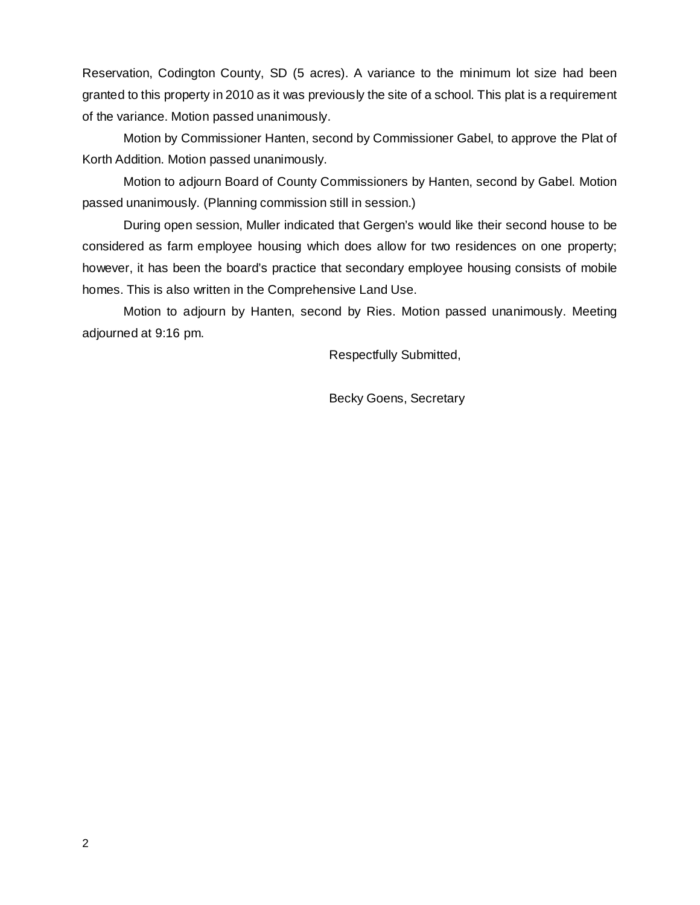Reservation, Codington County, SD (5 acres). A variance to the minimum lot size had been granted to this property in 2010 as it was previously the site of a school. This plat is a requirement of the variance. Motion passed unanimously.

Motion by Commissioner Hanten, second by Commissioner Gabel, to approve the Plat of Korth Addition. Motion passed unanimously.

Motion to adjourn Board of County Commissioners by Hanten, second by Gabel. Motion passed unanimously. (Planning commission still in session.)

During open session, Muller indicated that Gergen's would like their second house to be considered as farm employee housing which does allow for two residences on one property; however, it has been the board's practice that secondary employee housing consists of mobile homes. This is also written in the Comprehensive Land Use.

Motion to adjourn by Hanten, second by Ries. Motion passed unanimously. Meeting adjourned at 9:16 pm.

Respectfully Submitted,

Becky Goens, Secretary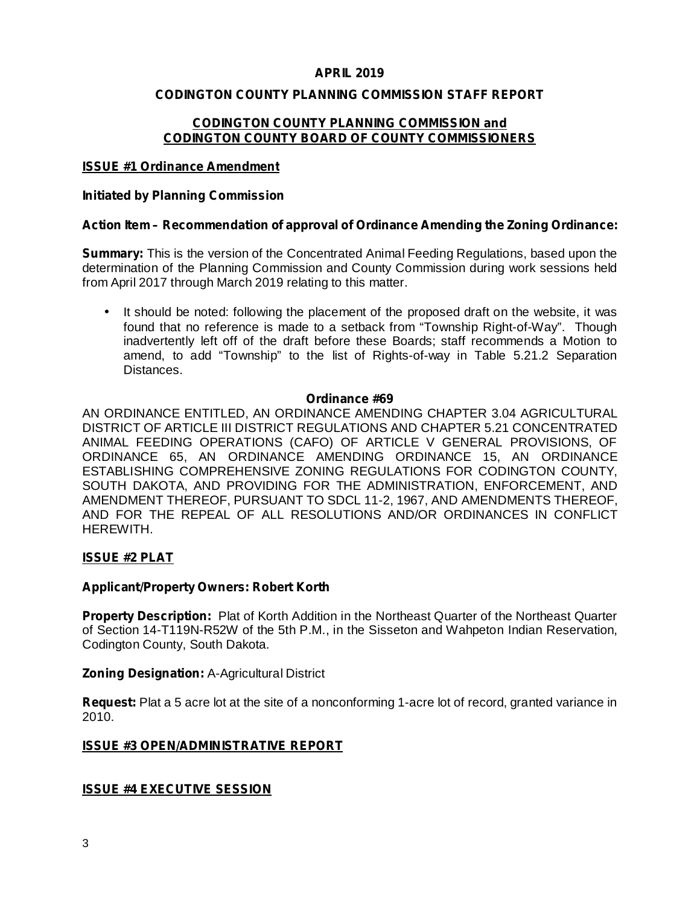## **APRIL 2019**

## **CODINGTON COUNTY PLANNING COMMISSION STAFF REPORT**

## **CODINGTON COUNTY PLANNING COMMISSION and CODINGTON COUNTY BOARD OF COUNTY COMMISSIONERS**

#### **ISSUE #1 Ordinance Amendment**

#### **Initiated by Planning Commission**

## **Action Item – Recommendation of approval of Ordinance Amending the Zoning Ordinance:**

**Summary:** This is the version of the Concentrated Animal Feeding Regulations, based upon the determination of the Planning Commission and County Commission during work sessions held from April 2017 through March 2019 relating to this matter.

It should be noted: following the placement of the proposed draft on the website, it was found that no reference is made to a setback from "Township Right-of-Way". Though inadvertently left off of the draft before these Boards; staff recommends a Motion to amend, to add "Township" to the list of Rights-of-way in Table 5.21.2 Separation Distances. •

#### **Ordinance #69**

AN ORDINANCE ENTITLED, AN ORDINANCE AMENDING CHAPTER 3.04 AGRICULTURAL DISTRICT OF ARTICLE III DISTRICT REGULATIONS AND CHAPTER 5.21 CONCENTRATED ANIMAL FEEDING OPERATIONS (CAFO) OF ARTICLE V GENERAL PROVISIONS, OF ORDINANCE 65, AN ORDINANCE AMENDING ORDINANCE 15, AN ORDINANCE ESTABLISHING COMPREHENSIVE ZONING REGULATIONS FOR CODINGTON COUNTY, SOUTH DAKOTA, AND PROVIDING FOR THE ADMINISTRATION, ENFORCEMENT, AND AMENDMENT THEREOF, PURSUANT TO SDCL 11-2, 1967, AND AMENDMENTS THEREOF, AND FOR THE REPEAL OF ALL RESOLUTIONS AND/OR ORDINANCES IN CONFLICT HEREWITH.

## **ISSUE #2 PLAT**

#### **Applicant/Property Owners: Robert Korth**

Property Description: Plat of Korth Addition in the Northeast Quarter of the Northeast Quarter of Section 14-T119N-R52W of the 5th P.M., in the Sisseton and Wahpeton Indian Reservation, Codington County, South Dakota.

#### **Zoning Designation: A-Agricultural District**

Request: Plat a 5 acre lot at the site of a nonconforming 1-acre lot of record, granted variance in 2010.

#### **ISSUE #3 OPEN/ADMINISTRATIVE REPORT**

## **ISSUE #4 EXECUTIVE SESSION**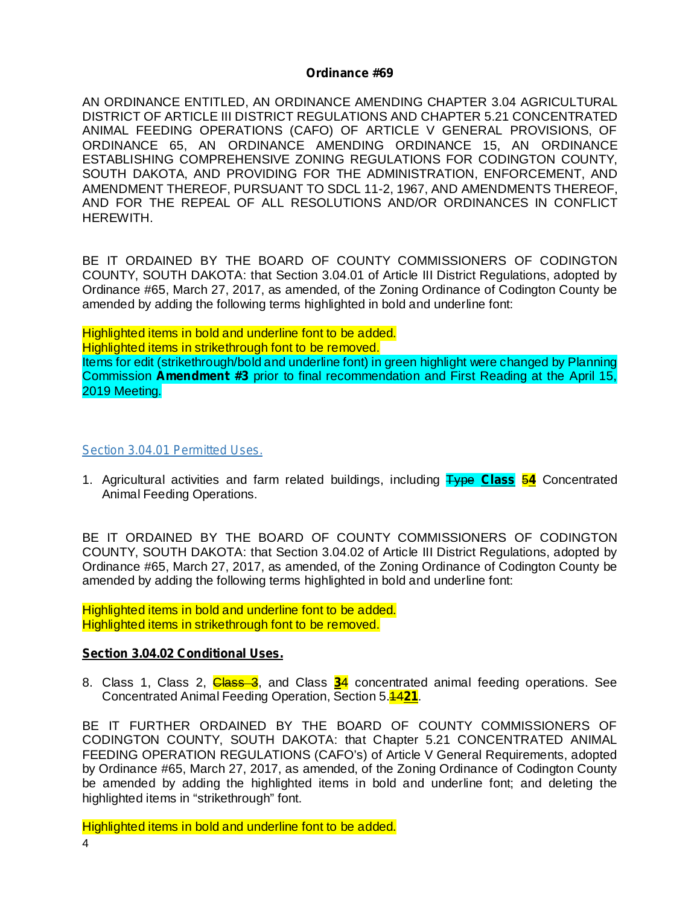#### **Ordinance #69**

AN ORDINANCE ENTITLED, AN ORDINANCE AMENDING CHAPTER 3.04 AGRICULTURAL DISTRICT OF ARTICLE III DISTRICT REGULATIONS AND CHAPTER 5.21 CONCENTRATED ANIMAL FEEDING OPERATIONS (CAFO) OF ARTICLE V GENERAL PROVISIONS, OF ORDINANCE 65, AN ORDINANCE AMENDING ORDINANCE 15, AN ORDINANCE ESTABLISHING COMPREHENSIVE ZONING REGULATIONS FOR CODINGTON COUNTY, SOUTH DAKOTA, AND PROVIDING FOR THE ADMINISTRATION, ENFORCEMENT, AND AMENDMENT THEREOF, PURSUANT TO SDCL 11-2, 1967, AND AMENDMENTS THEREOF, AND FOR THE REPEAL OF ALL RESOLUTIONS AND/OR ORDINANCES IN CONFLICT HEREWITH.

BE IT ORDAINED BY THE BOARD OF COUNTY COMMISSIONERS OF CODINGTON COUNTY, SOUTH DAKOTA: that Section 3.04.01 of Article III District Regulations, adopted by Ordinance #65, March 27, 2017, as amended, of the Zoning Ordinance of Codington County be amended by adding the following terms highlighted in bold and underline font:

Highlighted items in bold and underline font to be added. Highlighted items in strikethrough font to be removed. Items for edit (strikethrough/bold and underline font) in green highlight were changed by Planning Commission Amendment #3 prior to final recommendation and First Reading at the April 15, 2019 Meeting.

#### *Section 3.04.01 Permitted Uses.*

1. Agricultural activities and farm related buildings, including Type Class 54 Concentrated Animal Feeding Operations.

BE IT ORDAINED BY THE BOARD OF COUNTY COMMISSIONERS OF CODINGTON COUNTY, SOUTH DAKOTA: that Section 3.04.02 of Article III District Regulations, adopted by Ordinance #65, March 27, 2017, as amended, of the Zoning Ordinance of Codington County be amended by adding the following terms highlighted in bold and underline font:

Highlighted items in bold and underline font to be added. Highlighted items in strikethrough font to be removed.

#### **Section 3.04.02 Conditional Uses.**

8. Class 1, Class 2, *Class 3*, and Class 34 concentrated animal feeding operations. See **Concentrated Animal Feeding Operation, Section 5.4421.** 

BE IT FURTHER ORDAINED BY THE BOARD OF COUNTY COMMISSIONERS OF CODINGTON COUNTY, SOUTH DAKOTA: that Chapter 5.21 CONCENTRATED ANIMAL FEEDING OPERATION REGULATIONS (CAFO's) of Article V General Requirements, adopted by Ordinance #65, March 27, 2017, as amended, of the Zoning Ordinance of Codington County be amended by adding the highlighted items in bold and underline font; and deleting the highlighted items in "strikethrough" font.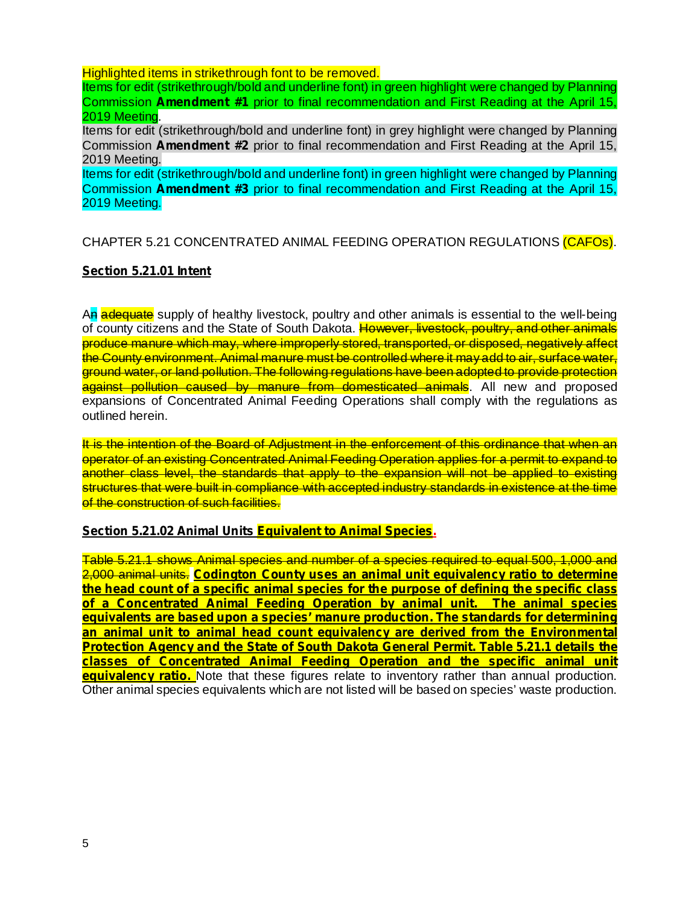Highlighted items in strikethrough font to be removed.

Items for edit (strikethrough/bold and underline font) in green highlight were changed by Planning Commission Amendment #1 prior to final recommendation and First Reading at the April 15, 2019 Meeting.

Items for edit (strikethrough/bold and underline font) in grey highlight were changed by Planning Commission **Amendment #2** prior to final recommendation and First Reading at the April 15, 2019 Meeting.

Items for edit (strikethrough/bold and underline font) in green highlight were changed by Planning Commission Amendment #3 prior to final recommendation and First Reading at the April 15, 2019 Meeting.

# CHAPTER 5.21 CONCENTRATED ANIMAL FEEDING OPERATION REGULATIONS (CAFOs).

## **Section 5.21.01 Intent**

An adequate supply of healthy livestock, poultry and other animals is essential to the well-being of county citizens and the State of South Dakota. However, livestock, poultry, and other animals produce manure which may, where improperly stored, transported, or disposed, negatively affect the County environment. Animal manure must be controlled where it may add to air, surface water, ground water, or land pollution. The following regulations have been adopted to provide protection against pollution caused by manure from domesticated animals. All new and proposed expansions of Concentrated Animal Feeding Operations shall comply with the regulations as outlined herein.

It is the intention of the Board of Adjustment in the enforcement of this ordinance that when an operator of an existing Concentrated Animal Feeding Operation applies for a permit to expand to another class level, the standards that apply to the expansion will not be applied to existing structures that were built in compliance with accepted industry standards in existence at the time of the construction of such facilities.

#### **Section 5.21.02 Animal Units Equivalent to Animal Species.**

Table 5.21.1 shows Animal species and number of a species required to equal 500, 1,000 and 2,000 animal units. **Codington County uses an animal unit equivalency ratio to determine equivalency ratio.** Note that these figures relate to inventory rather than annual production. Other animal species equivalents which are not listed will be based on species' waste production. **the head count of a specific animal species for the purpose of defining the specific class of a Concentrated Animal Feeding Operation by animal unit. The animal species equivalents are based upon a species' manure production. The standards for determining an animal unit to animal head count equivalency are derived from the Environmental Protection Agency and the State of South Dakota General Permit. Table 5.21.1 details the classes of Concentrated Animal Feeding Operation and the specific animal unit**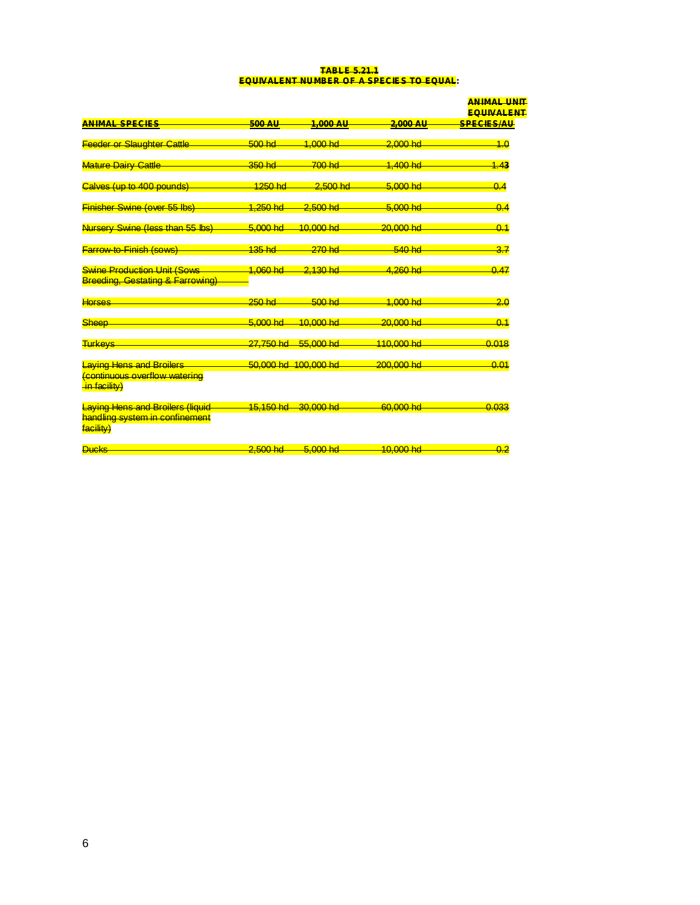#### **TABLE 5.21.1 EQUIVALENT NUMBER OF A SPECIES TO EQUAL:**

|                                                                                   |                      |                        |                       | <b>ANIMAL UNIT</b><br><b>EQUIVALENT</b> |
|-----------------------------------------------------------------------------------|----------------------|------------------------|-----------------------|-----------------------------------------|
| <b>ANIMAL SPECIES</b>                                                             | <b>500 AU</b>        | 1,000 AU               | <del>2,000 AU</del>   | <del>SPECIES/AU</del>                   |
|                                                                                   |                      |                        |                       |                                         |
| <b>Feeder or Slaughter Cattle</b>                                                 | $500$ hd             | $1,000$ hd             | $2,000$ hd            | 4.0                                     |
| Mature Dairy Cattle                                                               | $-350$ hd            | $700$ hd               | <mark>1,400 hd</mark> | 1.43                                    |
| Calves (up to 400 pounds)                                                         | <mark>1250 hd</mark> | <del>2.500 hc</del>    | <del>5.000 hd</del>   | 0.4                                     |
| <b>Finisher Swine (over 55 lbs</b>                                                | <u>1.250 hd</u>      | $2.500$ hd             | 5.000 hd              | 0.4                                     |
| Nursery Swine (less than 55 lbs)                                                  | 5.000 hd             | $10,000$ hd            | 20.000 hd             | 0.1                                     |
| <b>Farrow-to-Finish (sows)</b>                                                    | 135hd                | $270$ hd               | 540 hd                | 3.7                                     |
| <b>Swine Production Unit (Sows</b><br><b>Breeding, Gestating &amp; Farrowing)</b> | 1.060 hd             | 2.130 hd               | <mark>4.260 hd</mark> | 0.47                                    |
| <b>Horses</b>                                                                     | $250$ hd             | 500 hd                 | $4.000$ hd            | 2.0                                     |
| Sheep                                                                             | 5.000 hd             | <mark>10.000 hd</mark> | $20.000 h$ d          | 0.1                                     |
| <b>Turkeys</b>                                                                    | 27.750 hd            | 55,000 hd              | 110,000 hd            | 0.018                                   |
| Laying Hens and Broilers<br>Continuous overflow watering<br>in facility)          |                      | 50,000 hd. 100,000 hd  | $200,000$ hd          | 0.01                                    |
| Laying Hens and Broilers (liquid<br>handling system in confinement<br>facility)   | 15 150 hd            | 30.000 hd              | 60.000 hd             | 0.033                                   |
| <b>Ducks</b>                                                                      | 2.500 <sub>hd</sub>  | 5,000 hd               | 10,000 hd             | 0.2                                     |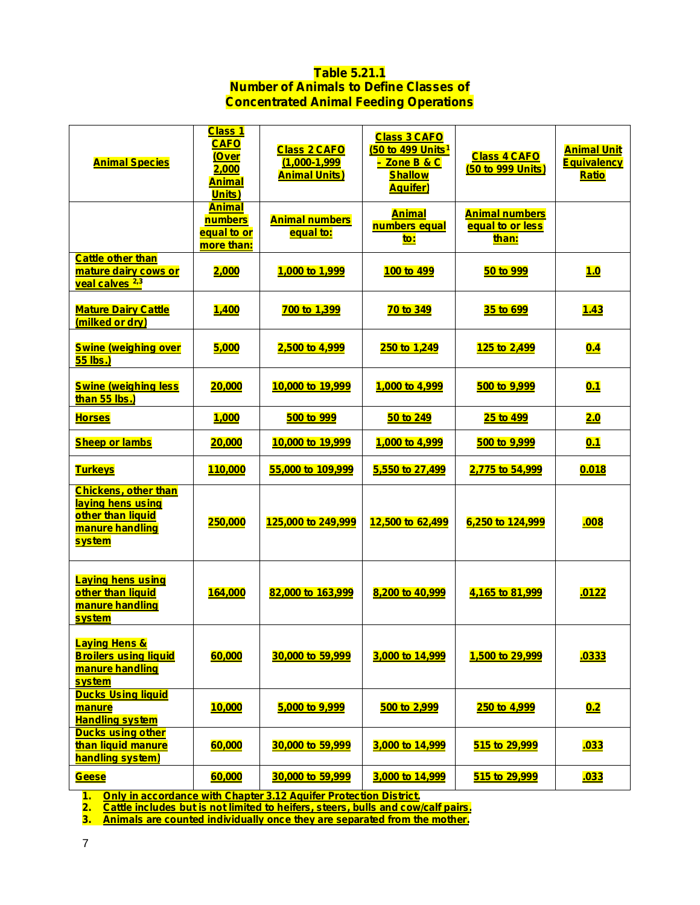## **Table 5.21.1 Number of Animals to Define Classes of Concentrated Animal Feeding Operations**

| <b>Animal Species</b>                                                                                     | <u>Class 1</u><br><b>CAFO</b><br><u>(Over</u><br>2,000<br><b>Animal</b><br>Units) | <b>Class 2 CAFO</b><br>$(1,000 - 1,999)$<br><b>Animal Units)</b> | <b>Class 3 CAFO</b><br>(50 to 499 Units <sup>1</sup><br><mark>- Zone B &amp; C</mark><br><b>Shallow</b><br><b>Aquifer)</b> | <b>Class 4 CAFO</b><br>(50 to 999 Units)           | <b>Animal Unit</b><br><b>Equivalency</b><br><b>Ratio</b> |
|-----------------------------------------------------------------------------------------------------------|-----------------------------------------------------------------------------------|------------------------------------------------------------------|----------------------------------------------------------------------------------------------------------------------------|----------------------------------------------------|----------------------------------------------------------|
|                                                                                                           | <b>Animal</b><br>numbers<br>equal to or<br>more than:                             | <b>Animal numbers</b><br>equal to:                               | <b>Animal</b><br>numbers equal<br>to:                                                                                      | <b>Animal numbers</b><br>equal to or less<br>than: |                                                          |
| <b>Cattle other than</b><br>mature dairy cows or<br>veal calves <sup>2,3</sup>                            | 2,000                                                                             | 1,000 to 1,999                                                   | 100 to 499                                                                                                                 | 50 to 999                                          | 1.0                                                      |
| <b>Mature Dairy Cattle</b><br>(milked or dry)                                                             | <u>1,400</u>                                                                      | 700 to 1,399                                                     | <b>70 to 349</b>                                                                                                           | <u>35 to 699</u>                                   | 1.43                                                     |
| <b>Swine (weighing over</b><br>55 lbs.)                                                                   | 5,000                                                                             | 2,500 to 4,999                                                   | 250 to 1,249                                                                                                               | 125 to 2,499                                       | 0.4                                                      |
| <b>Swine (weighing less</b><br>than 55 lbs.)                                                              | 20,000                                                                            | 10,000 to 19,999                                                 | 1,000 to 4,999                                                                                                             | 500 to 9,999                                       | 0.1                                                      |
| <b>Horses</b>                                                                                             | 1,000                                                                             | 500 to 999                                                       | 50 to 249                                                                                                                  | 25 to 499                                          | 2.0                                                      |
| <b>Sheep or lambs</b>                                                                                     | 20,000                                                                            | 10,000 to 19,999                                                 | 1,000 to 4,999                                                                                                             | 500 to 9,999                                       | 0.1                                                      |
| <b>Turkeys</b>                                                                                            | 110,000                                                                           | 55,000 to 109,999                                                | 5,550 to 27,499                                                                                                            | 2,775 to 54,999                                    | 0.018                                                    |
| <b>Chickens, other than</b><br>laying hens using<br>other than liquid<br>manure handling<br><b>system</b> | 250,000                                                                           | 125,000 to 249,999                                               | 12,500 to 62,499                                                                                                           | 6,250 to 124,999                                   | .008                                                     |
| <b>Laying hens using</b><br>other than liquid<br>manure handling<br>system                                | 164,000                                                                           | 82,000 to 163,999                                                | 8,200 to 40,999                                                                                                            | 4,165 to 81,999                                    | .0122                                                    |
| <b>Laying Hens &amp;</b><br><b>Broilers using liquid</b><br>manure handling<br><b>system</b>              | 60,000                                                                            | 30,000 to 59,999                                                 | 3,000 to 14,999                                                                                                            | 1,500 to 29,999                                    | <mark>.0333</mark>                                       |
| <b>Ducks Using liquid</b><br>manure<br><b>Handling system</b>                                             | 10,000                                                                            | 5,000 to 9,999                                                   | 500 to 2,999                                                                                                               | 250 to 4,999                                       | 0.2                                                      |
| <b>Ducks using other</b><br>than liquid manure<br>handling system)                                        | 60,000                                                                            | 30,000 to 59,999                                                 | 3,000 to 14,999                                                                                                            | 515 to 29,999                                      | <b>.033</b>                                              |
| <b>Geese</b>                                                                                              | 60,000                                                                            | 30,000 to 59,999                                                 | 3,000 to 14,999                                                                                                            | 515 to 29,999                                      | <u>.033</u>                                              |

**1. Only in accordance with Chapter 3.12 Aquifer Protection District.**

**2. Cattle includes but is not limited to heifers, steers, bulls and cow/calf pairs.**

**3. Animals are counted individually once they are separated from the mother.**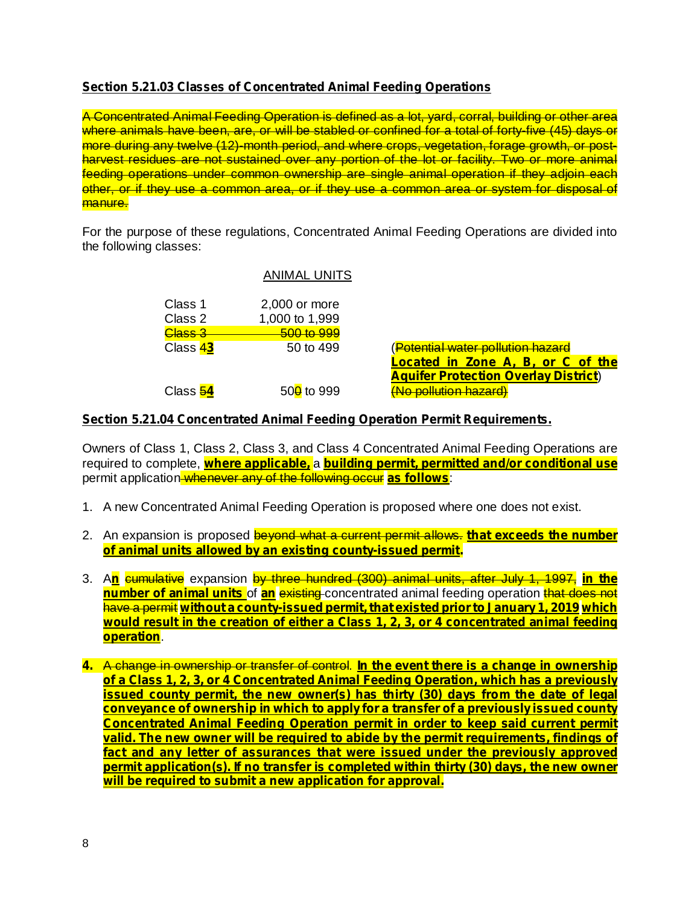# **Section 5.21.03 Classes of Concentrated Animal Feeding Operations**

A Concentrated Animal Feeding Operation is defined as a lot, yard, corral, building or other area where animals have been, are, or will be stabled or confined for a total of forty-five (45) days or more during any twelve (12)-month period, and where crops, vegetation, forage growth, or postharvest residues are not sustained over any portion of the lot or facility. Two or more animal feeding operations under common ownership are single animal operation if they adjoin each other, or if they use a common area, or if they use a common area or system for disposal of manure.

For the purpose of these regulations, Concentrated Animal Feeding Operations are divided into the following classes:

## ANIMAL UNITS

| Class 1<br>Class 2 | 2,000 or more<br>1,000 to 1,999 |
|--------------------|---------------------------------|
| Class 3            | <u>500 to 999</u>               |
| Class 43           | 50 to 499                       |
| Class 54           | $50\frac{0}{10}$ to 999         |

(Potential water pollution hazard ) **Aquifer Protection Overlay District** (No pollution hazard) **Located in Zone A, B, or C of the**

## **Section 5.21.04 Concentrated Animal Feeding Operation Permit Requirements.**

Owners of Class 1, Class 2, Class 3, and Class 4 Concentrated Animal Feeding Operations are **required to complete, <mark>where applicable,</mark> a <mark>building permit, permitted and/or conditional use</mark>** permit application<del> whenever any of the following occur</del> <mark>as follows</mark>:

- 1. A new Concentrated Animal Feeding Operation is proposed where one does not exist.
- 2. An expansion is proposed beyond what a current permit allows. **that exceeds the number of animal units allowed by an existing county-issued permit.**
- 3. A<mark>n</mark> cumulative expansion by three hundred (300) animal units, after July 1, 1997, in the **number of animal units** of **an** existing concentrated animal feeding operation that does not have a permit **without a county-issued permit,that existed priorto January 1, 2019 which** . **operation would result in the creation of either a Class 1, 2, 3, or 4 concentrated animal feeding**
- A change in ownership or transfer of control. **4. In the event there is a change in ownership of a Class 1, 2, 3, or 4 Concentrated Animal Feeding Operation, which has a previously issued county permit, the new owner(s) has thirty (30) days from the date of legal conveyance of ownership in which to apply for a transfer of a previously issued county Concentrated Animal Feeding Operation permit in order to keep said current permit valid. The new owner will be required to abide by the permit requirements, findings of fact and any letter of assurances that were issued under the previously approved permit application(s). If no transfer is completed within thirty (30) days, the new owner will be required to submit a new application for approval.**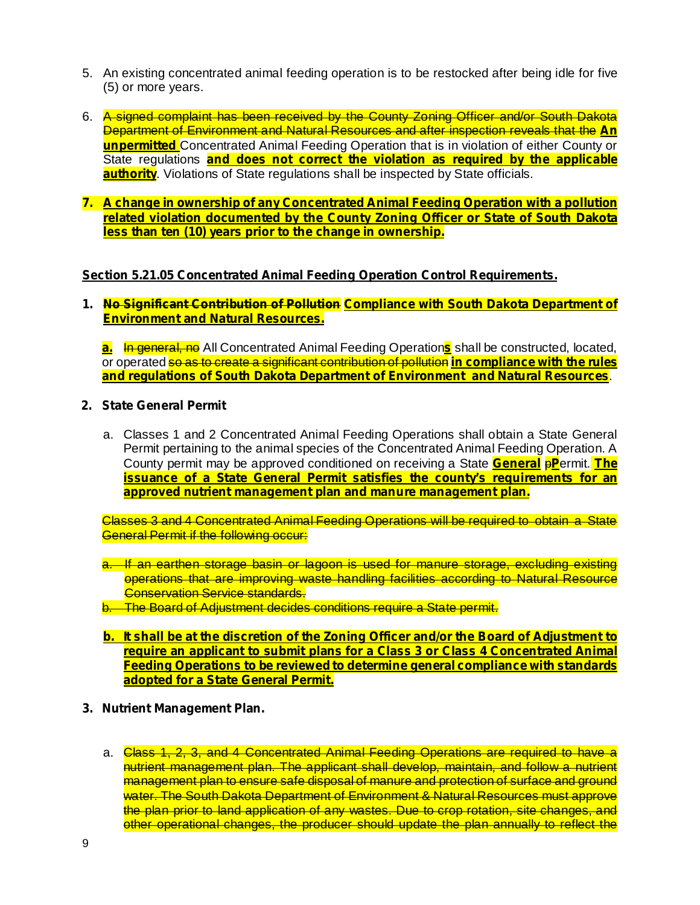- 5. An existing concentrated animal feeding operation is to be restocked after being idle for five (5) or more years.
- 6. A signed complaint has been received by the County Zoning Officer and/or South Dakota Department of Environment and Natural Resources and after inspection reveals that the **An unpermitted** Concentrated Animal Feeding Operation that is in violation of either County or State regulations **and does not correct the violation as required by the applicable authority**. Violations of State regulations shall be inspected by State officials.
- **7. A change in ownership of any Concentrated Animal Feeding Operation with a pollution related violation documented by the County Zoning Officer or State of South Dakota less than ten (10) years prior to the change in ownership.**

## **Section 5.21.05 Concentrated Animal Feeding Operation Control Requirements.**

**1. No Significant Contribution of Pollution Compliance with South Dakota Department of Environment and Natural Resources.**

**a.** In general, no All Concentrated Animal Feeding Operations shall be constructed, located, or operated so as to create a significant contribution of pollution **in compliance with the rules** . **and regulations of South Dakota Department of Environment and Natural Resources**

- **2. State General Permit**
	- a. Classes 1 and 2 Concentrated Animal Feeding Operations shall obtain a State General Permit pertaining to the animal species of the Concentrated Animal Feeding Operation. A County permit may be approved conditioned on receiving a State **General PP** ermit. The **issuance of a State General Permit satisfies the county's requirements for an approved nutrient management plan and manure management plan.**

Classes 3 and 4 Concentrated Animal Feeding Operations will be required to obtain a State General Permit if the following occur:

- a. If an earthen storage basin or lagoon is used for manure storage, excluding existing operations that are improving waste handling facilities according to Natural Resource **Conservation Service standards.**
- b. The Board of Adjustment decides conditions require a State permit.
- **b. It shall be at the discretion of the Zoning Officer and/or the Board of Adjustment to require an applicant to submit plans for a Class 3 or Class 4 Concentrated Animal Feeding Operations to be reviewed to determine general compliance with standards adopted for a State General Permit.**
- **3. Nutrient Management Plan.**
	- a. Class 1, 2, 3, and 4 Concentrated Animal Feeding Operations are required to have a nutrient management plan. The applicant shall develop, maintain, and follow a nutrient management plan to ensure safe disposal of manure and protection of surface and ground water. The South Dakota Department of Environment & Natural Resources must approve the plan prior to land application of any wastes. Due to crop rotation, site changes, and other operational changes, the producer should update the plan annually to reflect the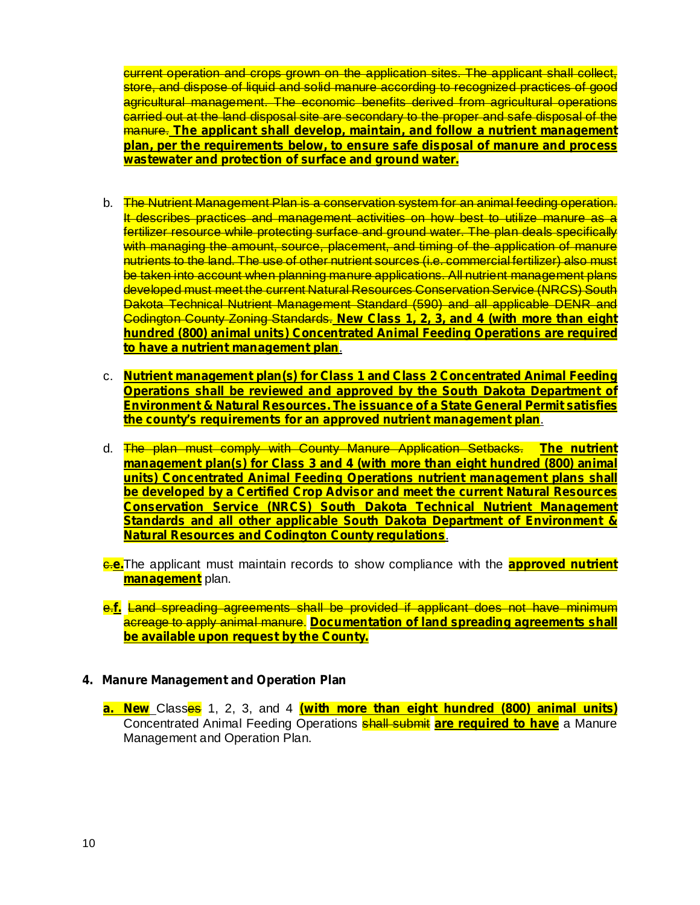current operation and crops grown on the application sites. The applicant shall collect, store, and dispose of liquid and solid manure according to recognized practices of good agricultural management. The economic benefits derived from agricultural operations carried out at the land disposal site are secondary to the proper and safe disposal of the manure. **The applicant shall develop, maintain, and follow a nutrient management plan, per the requirements below, to ensure safe disposal of manure and process wastewater and protection of surface and ground water.**

- b. The Nutrient Management Plan is a conservation system for an animal feeding operation. It describes practices and management activities on how best to utilize manure as a fertilizer resource while protecting surface and ground water. The plan deals specifically with managing the amount, source, placement, and timing of the application of manure nutrients to the land. The use of other nutrient sources (i.e. commercial fertilizer) also must be taken into account when planning manure applications. All nutrient management plans developed must meet the current Natural Resources Conservation Service (NRCS) South Dakota Technical Nutrient Management Standard (590) and all applicable DENR and Codington County Zoning Standards. **New Class 1, 2, 3, and 4 (with more than eight** . **to have a nutrient management plan hundred (800) animal units) Concentrated Animal Feeding Operations are required**
- c. **Nutrient management plan(s) for Class 1 and Class 2 Concentrated Animal Feeding** . **the county's requirements for an approved nutrient management plan Operations shall be reviewed and approved by the South Dakota Department of Environment & Natural Resources. The issuance of a State General Permit satisfies**
- d. The plan must comply with County Manure Application Setbacks. **The nutrient** . **Natural Resources and Codington County regulations management plan(s) for Class 3 and 4 (with more than eight hundred (800) animal units) Concentrated Animal Feeding Operations nutrient management plans shall be developed by a Certified Crop Advisor and meet the current Natural Resources Conservation Service (NRCS) South Dakota Technical Nutrient Management Standards and all other applicable South Dakota Department of Environment &**
- **6.e.** The applicant must maintain records to show compliance with the **approved nutrient management** plan.
- e.f. Land spreading agreements shall be provided if applicant does not have minimum acreage to apply animal manure. **Documentation of land spreading agreements shall be available upon request by the County.**

#### **4. Manure Management and Operation Plan**

Classes 1, 2, 3, and 4 **a. New (with more than eight hundred (800) animal units)** Concentrated Animal Feeding Operations **shall submit are required to have** a Manure Management and Operation Plan.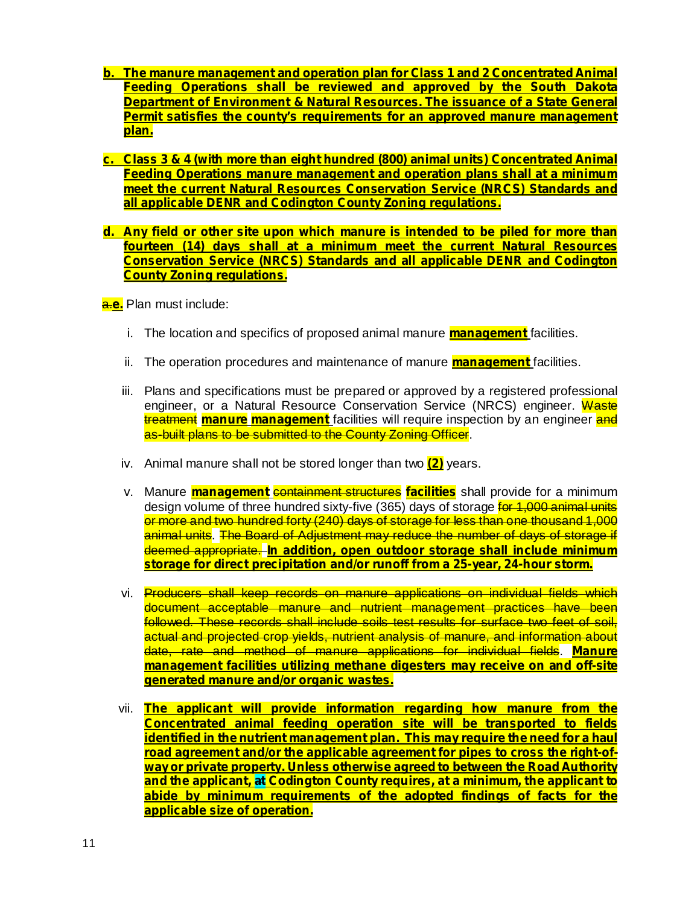- **b. The manure management and operation plan for Class 1 and 2 Concentrated Animal Feeding Operations shall be reviewed and approved by the South Dakota Department of Environment & Natural Resources. The issuance of a State General Permit satisfies the county's requirements for an approved manure management plan.**
- **c. Class 3 & 4 (with more than eight hundred (800) animal units) Concentrated Animal Feeding Operations manure management and operation plans shall at a minimum meet the current Natural Resources Conservation Service (NRCS) Standards and all applicable DENR and Codington County Zoning regulations.**
- **d. Any field or other site upon which manure is intended to be piled for more than fourteen (14) days shall at a minimum meet the current Natural Resources Conservation Service (NRCS) Standards and all applicable DENR and Codington County Zoning regulations.**

a. Plan must include: **e.**

- i. The location and specifics of proposed animal manure **management** facilities.
- ii. The operation procedures and maintenance of manure **management** facilities.
- iii. Plans and specifications must be prepared or approved by a registered professional engineer, or a Natural Resource Conservation Service (NRCS) engineer. Waste treatment manure management facilities will require inspection by an engineer and as-built plans to be submitted to the County Zoning Officer.
- iv. Animal manure shall not be stored longer than two **(2)** years.
- v. Manure *management containment structures facilities* shall provide for a minimum design volume of three hundred sixty-five (365) days of storage for 1,000 animal units or more and two hundred forty (240) days of storage for less than one thousand 1,000 animal units. The Board of Adjustment may reduce the number of days of storage if deemed appropriate. **In addition, open outdoor storage shall include minimum storage for direct precipitation and/or runoff from a 25-year, 24-hour storm.**
- vi. Producers shall keep records on manure applications on individual fields which document acceptable manure and nutrient management practices have been followed. These records shall include soils test results for surface two feet of soil, actual and projected crop yields, nutrient analysis of manure, and information about date, rate and method of manure applications for individual fields. **Manure management facilities utilizing methane digesters may receive on and off-site generated manure and/or organic wastes.**
- vii. **The applicant will provide information regarding how manure from the Concentrated animal feeding operation site will be transported to fields identified in the nutrient management plan. This may require the need for a haul road agreement and/or the applicable agreement for pipes to cross the right-ofwayor private property. Unless otherwise agreed to between the Road Authority and the applicant, at Codington County requires, at a minimum, the applicant to abide by minimum requirements of the adopted findings of facts for the applicable size of operation.**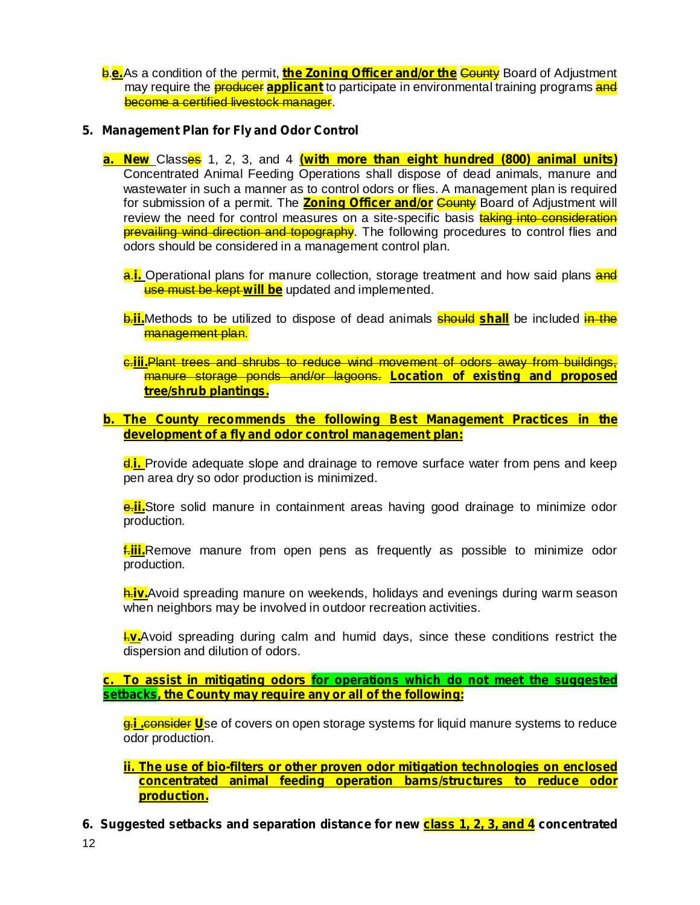**<u>e.e.</u>As a condition of the permit, <mark>the Zoning Officer and/or the</mark> County</mark> Board of Adjustment** may require the *producer* applicant to participate in environmental training programs and become a certified livestock manager.

## **5. Management Plan for Fly and Odor Control**

- Classes 1, 2, 3, and 4 **a. New (with more than eight hundred (800) animal units)** Concentrated Animal Feeding Operations shall dispose of dead animals, manure and wastewater in such a manner as to control odors or flies. A management plan is required for submission of a permit. The <mark>Zoning Officer and/or</mark> County Board of Adjustment will review the need for control measures on a site-specific basis taking into consideration prevailing wind direction and topography. The following procedures to control flies and odors should be considered in a management control plan.
	- **a.i.** Operational plans for manure collection, storage treatment and how said plans and **use must be kept will be** updated and implemented.
	- **b.ii.**Methods to be utilized to dispose of dead animals **should shall** be included in the management plan.
	- c.iii.Plant trees and shrubs to reduce wind movement of odors away from buildings, manure storage ponds and/or lagoons. **Location of existing and proposed tree/shrub plantings.**
- **b. The County recommends the following Best Management Practices in the development of a fly and odor control management plan:**

**d.i.** Provide adequate slope and drainage to remove surface water from pens and keep pen area dry so odor production is minimized.

**e.ii.**Store solid manure in containment areas having good drainage to minimize odor production.

**fallo**. Remove manure from open pens as frequently as possible to minimize odor production.

**h.iv.**Avoid spreading manure on weekends, holidays and evenings during warm season when neighbors may be involved in outdoor recreation activities.

**L.v.**Avoid spreading during calm and humid days, since these conditions restrict the dispersion and dilution of odors.

**c. To assist in mitigating odors for operations which do not meet the suggested setbacks, the County may require any or all of the following:**

**<u>g.i .consider U</u>**se of covers on open storage systems for liquid manure systems to reduce odor production.

**ii. The use of bio-filters or other proven odor mitigation technologies on enclosed concentrated animal feeding operation barns/structures to reduce odor production.**

**6. Suggested setbacks and separation distance for new class 1, 2, 3, and 4 concentrated**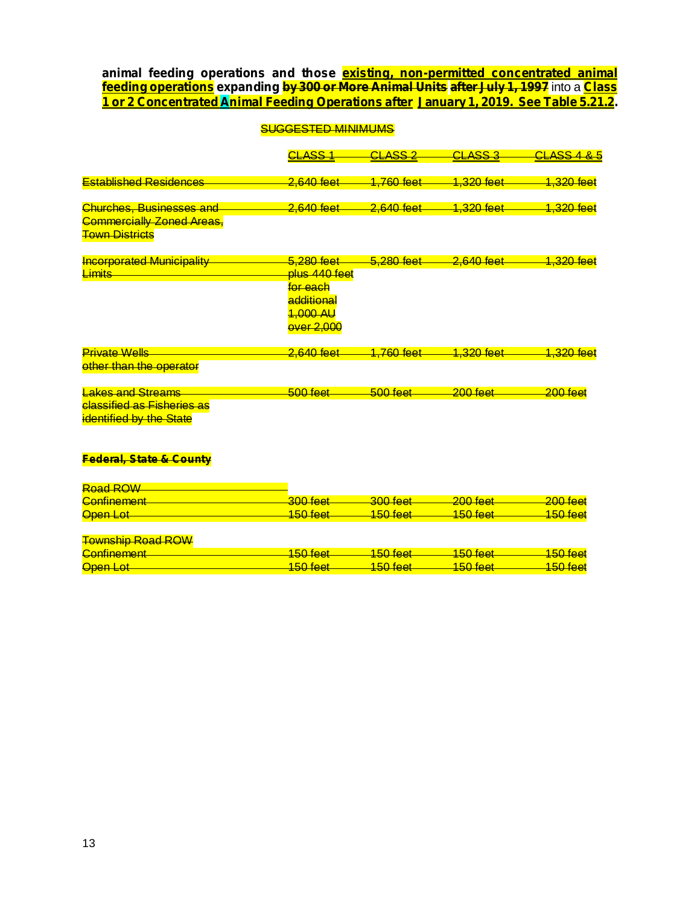$\frac{1}{2}$  feeding operations <code>expanding</code> by 300 or More Animal Units after July 1, 1997 <code>into</code> a Class **animal feeding operations and those existing, non-permitted concentrated animal 1 or 2 Concentrated Animal Feeding Operations after January 1, 2019. See Table 5.21.2.**

|                                                              | <b>SUGGESTED MINIMUMS</b>                                     |                         |                         |                         |  |
|--------------------------------------------------------------|---------------------------------------------------------------|-------------------------|-------------------------|-------------------------|--|
|                                                              | <u>CLASS 1</u>                                                | <u>CLASS 2</u>          | <b>CLASS 3</b>          | <u>CLASS 4 &amp; 5</u>  |  |
| <b>Established Residences</b>                                | 2,640 feet                                                    | <mark>1,760 feet</mark> | <del>1,320 feet</del>   | <del>1,320 feet</del>   |  |
| <b>Churches, Businesses and</b>                              | 2,640 feet                                                    | 2,640 feet              | 1,320 feet              | <mark>1,320 feet</mark> |  |
| <b>Commercially Zoned Areas,</b><br><b>Town Districts</b>    |                                                               |                         |                         |                         |  |
| <b>Incorporated Municipality</b>                             | 5,280 feet                                                    | 5,280 feet              | 2,640 feet              | <del>1,320 feet</del>   |  |
| <b>Limits</b>                                                | <del>plus 440 feet</del><br><del>for each</del><br>additional |                         |                         |                         |  |
|                                                              | 1,000 AU<br><b>over 2,000</b>                                 |                         |                         |                         |  |
| <b>Private Wells</b>                                         | 2,640 feet                                                    | <mark>1,760 feet</mark> | <mark>1,320 feet</mark> | <mark>1,320 feet</mark> |  |
| other than the operator                                      |                                                               |                         |                         |                         |  |
| <b>Lakes and Streams</b>                                     | $500$ feet                                                    | $500$ feet              | $200$ feet              | $200$ feet              |  |
| <b>classified as Fisheries as</b><br>identified by the State |                                                               |                         |                         |                         |  |
| <b>Federal, State &amp; County</b>                           |                                                               |                         |                         |                         |  |

#### Road ROW Confinement 200 feet 300 feet 300 feet 200 feet 200 feet 200 feet Open Lot 2000 2000 2000 150 feet 2000 150 feet 2000 150 feet 2000 150 feet 2000 150 feet

#### Township Road ROW

| Confinement           | 150 foot           | I 50 foot                | $150$ foot     | $150$ foot   |
|-----------------------|--------------------|--------------------------|----------------|--------------|
| <del>oommonicht</del> | <del>1001001</del> | $\overline{\phantom{a}}$ | <u>TUUTUUT</u> | <del>.</del> |
| Open Lot              | 150 foot           | $150$ foot               | $150$ foot     | $150$ foot   |
|                       | <del>.</del>       | <del>.</del>             | <del>.</del>   | <del>.</del> |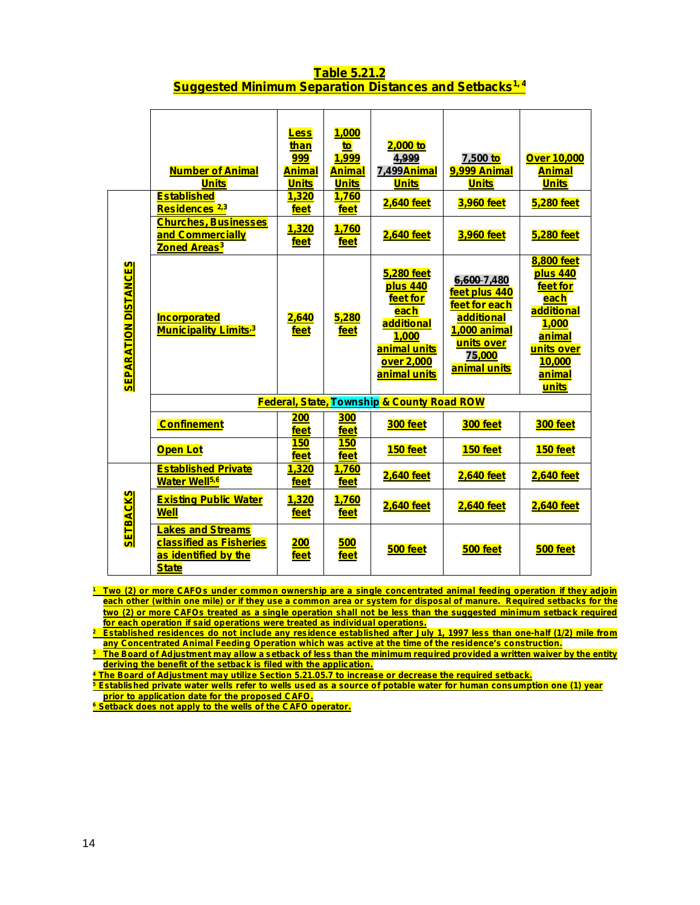## **Table 5.21.2 Suggested Minimum Separation Distances and Setbacks 1, 4**

|                             | <b>Number of Animal</b><br><b>Units</b><br><b>Established</b><br>Residences <sup>2,3</sup>         | <b>Less</b><br>than<br>999<br><u>Animal</u><br><b>Units</b><br>1,320<br>feet | 1,000<br>to<br>1.999<br><b>Animal</b><br><b>Units</b><br>1,760<br>feet | $2,000$ to<br>4.999<br>7,499 <del>Anima</del> l<br><b>Units</b><br>2,640 feet                                          | 7,500 <mark>to</mark><br>9,999 Animal<br><b>Units</b><br>3,960 feet                                                        | <b>Over 10,000</b><br><b>Animal</b><br><b>Units</b><br>5,280 feet                                                             |
|-----------------------------|----------------------------------------------------------------------------------------------------|------------------------------------------------------------------------------|------------------------------------------------------------------------|------------------------------------------------------------------------------------------------------------------------|----------------------------------------------------------------------------------------------------------------------------|-------------------------------------------------------------------------------------------------------------------------------|
|                             | <b>Churches, Businesses</b><br>and Commercially<br><b>Zoned Areas<sup>3</sup></b>                  | <u>1,320</u><br>feet                                                         | <b>1,760</b><br>feet                                                   | <b>2,640 feet</b>                                                                                                      | 3,960 feet                                                                                                                 | 5,280 feet                                                                                                                    |
| <b>SEPARATION DISTANCES</b> | Incorporated<br><b>Municipality Limits<sup>3</sup></b>                                             | 2,640<br>feet                                                                | 5,280<br>feet                                                          | <b>5,280 feet</b><br>plus 440<br>feet for<br>each<br>additional<br>1,000<br>animal units<br>over 2,000<br>animal units | 6,600 7,480<br>feet plus 440<br>feet for each<br>additional<br>1,000 animal<br>units over<br><b>75,000</b><br>animal units | <b>8,800 feet</b><br>plus 440<br>feet for<br>each<br>additional<br>1.000<br>animal<br>units over<br>10.000<br>animal<br>units |
|                             |                                                                                                    |                                                                              |                                                                        | <b>Federal, State, Township &amp; County Road ROW</b>                                                                  |                                                                                                                            |                                                                                                                               |
|                             | <b>Confinement</b>                                                                                 | <u> 200</u><br>feet                                                          | <b>300</b><br>feet                                                     | 300 feet                                                                                                               | 300 feet                                                                                                                   | 300 feet                                                                                                                      |
|                             | <b>Open Lot</b>                                                                                    | 150<br>feet                                                                  | <b>150</b><br>feet                                                     | 150 feet                                                                                                               | 150 feet                                                                                                                   | 150 feet                                                                                                                      |
|                             | <b>Established Private</b><br>Water Well <sup>5,6</sup>                                            | 1,320<br>feet                                                                | 1,760<br>feet                                                          | 2,640 feet                                                                                                             | <b>2,640 feet</b>                                                                                                          | 2,640 feet                                                                                                                    |
| <b>SETBACKS</b>             | <b>Existing Public Water</b><br><b>Well</b>                                                        | 1,320<br>feet                                                                | 1,760<br>feet                                                          | <b>2,640 feet</b>                                                                                                      | <b>2,640 feet</b>                                                                                                          | <b>2,640 feet</b>                                                                                                             |
|                             | <b>Lakes and Streams</b><br><b>classified as Fisheries</b><br>as identified by the<br><b>State</b> | <u> 200</u><br>feet                                                          | 500<br>feet                                                            | 500 feet                                                                                                               | 500 feet                                                                                                                   | 500 feet                                                                                                                      |

<sup>1</sup> Two (2) or more CAFOs under common ownership are a single concentrated animal feeding operation if they adjoin each other (within one mile) or if they use a common area or system for disposal of manure. Required setbacks for the two (2) or more CAFOs treated as a single operation shall not be less than the suggested minimum setback required **for each operation if said operations were treated as individual operations.**

<sup>2</sup> Established residences do not include any residence established after July 1, 1997 less than one-half (1/2) mile from **any Concentrated Animal Feeding Operation which was active at the time of the residence's construction.**

**The Board of Adjustment may allow a setback of less than the minimum required provided a written waiver by the entity deriving the benefit of the setback is filed with the application.**

**<sup>4</sup> The Board of Adjustment may utilize Section 5.21.05.7 to increase or decrease the required setback.**

**<u><sup>5</sup> Established private water wells refer to wells used as a source of potable water for human consumption one (1) year</u> prior to application date for the proposed CAFO.**

**<sup>6</sup> Setback does not apply to the wells of the CAFO operator.**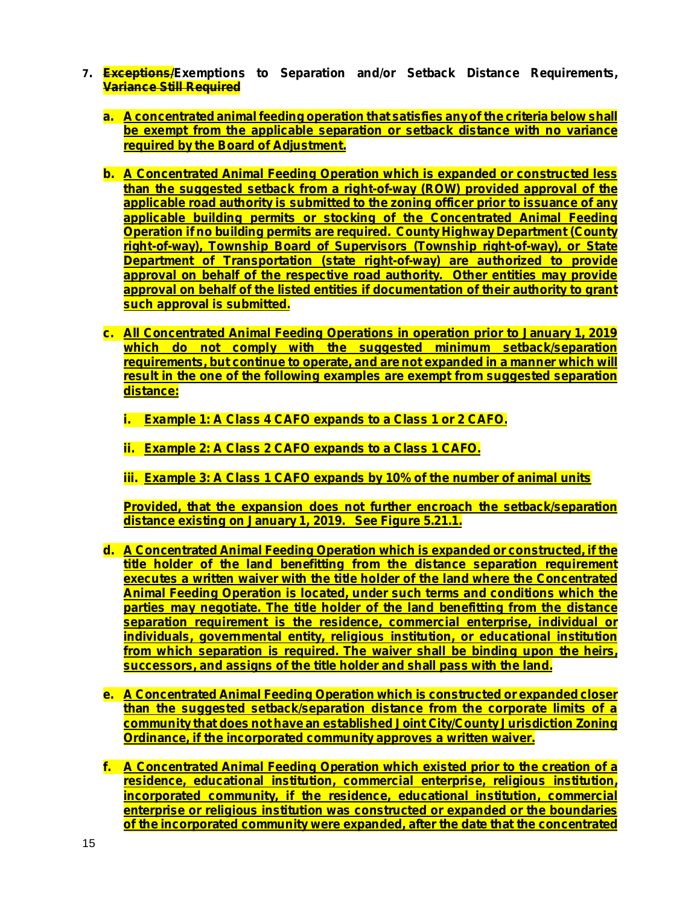- **7. Exceptions/Exemptions to Separation and/or Setback Distance Requirements, Variance Still Required**
	- **a. A concentrated animal feeding operation that satisfies anyof the criteria below shall be exempt from the applicable separation or setback distance with no variance required by the Board of Adjustment.**
	- **b. A Concentrated Animal Feeding Operation which is expanded or constructed less than the suggested setback from a right-of-way (ROW) provided approval of the applicable road authority is submitted to the zoning officer prior to issuance of any applicable building permits or stocking of the Concentrated Animal Feeding Constration if** no building permits are required. County Highway Department (County) **right-of-way), Township Board of Supervisors (Township right-of-way), or State Department of Transportation (state right-of-way) are authorized to provide approval on behalf of the respective road authority. Other entities may provide approval on behalf of the listed entities if documentation of their authority to grant such approval is submitted.**
	- **c. All Concentrated Animal Feeding Operations in operation prior to January 1, 2019 which do not comply with the suggested minimum setback/separation requirements, but continue to operate, and are not expanded in a manner which will result in the one of the following examples are exempt from suggested separation distance:**
		- **i. Example 1: A Class 4 CAFO expands to a Class 1 or 2 CAFO.**
		- **ii. Example 2: A Class 2 CAFO expands to a Class 1 CAFO.**
		- **iii. Example 3: A Class 1 CAFO expands by 10% of the number of animal units**

**Provided, that the expansion does not further encroach the setback/separation distance existing on January 1, 2019. See Figure 5.21.1.**

- **d. A Concentrated Animal Feeding Operation which is expanded or constructed, if the title holder of the land benefitting from the distance separation requirement executes a written waiver with the title holder of the land where the Concentrated Animal Feeding Operation is located, under such terms and conditions which the parties may negotiate. The title holder of the land benefitting from the distance separation requirement is the residence, commercial enterprise, individual or individuals, governmental entity, religious institution, or educational institution from which separation is required. The waiver shall be binding upon the heirs, successors, and assigns of the title holder and shall pass with the land.**
- **e. A Concentrated Animal Feeding Operation which is constructed or expanded closer than the suggested setback/separation distance from the corporate limits of a community that does not have an established Joint City/County Jurisdiction Zoning Ordinance, if the incorporated community approves a written waiver.**
- **f. A Concentrated Animal Feeding Operation which existed prior to the creation of a residence, educational institution, commercial enterprise, religious institution, incorporated community, if the residence, educational institution, commercial enterprise or religious institution was constructed or expanded or the boundaries of the incorporated community were expanded, after the date that the concentrated**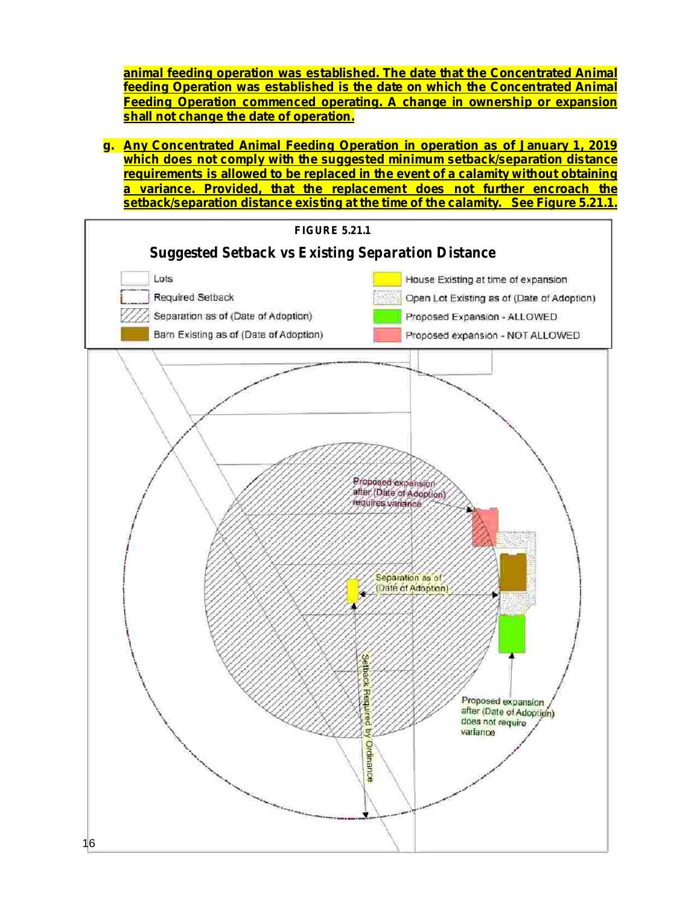**animal feeding operation was established. The date that the Concentrated Animal feeding Operation was established is the date on which the Concentrated Animal Feeding Operation commenced operating. A change in ownership or expansion shall not change the date of operation.**

**g. Any Concentrated Animal Feeding Operation in operation as of January 1, 2019 which does not comply with the suggested minimum setback/separation distance requirements is allowed to be replaced in the event of a calamity without obtaining a variance. Provided, that the replacement does not further encroach the setback/separation distance existing at the time of the calamity. See Figure 5.21.1.**

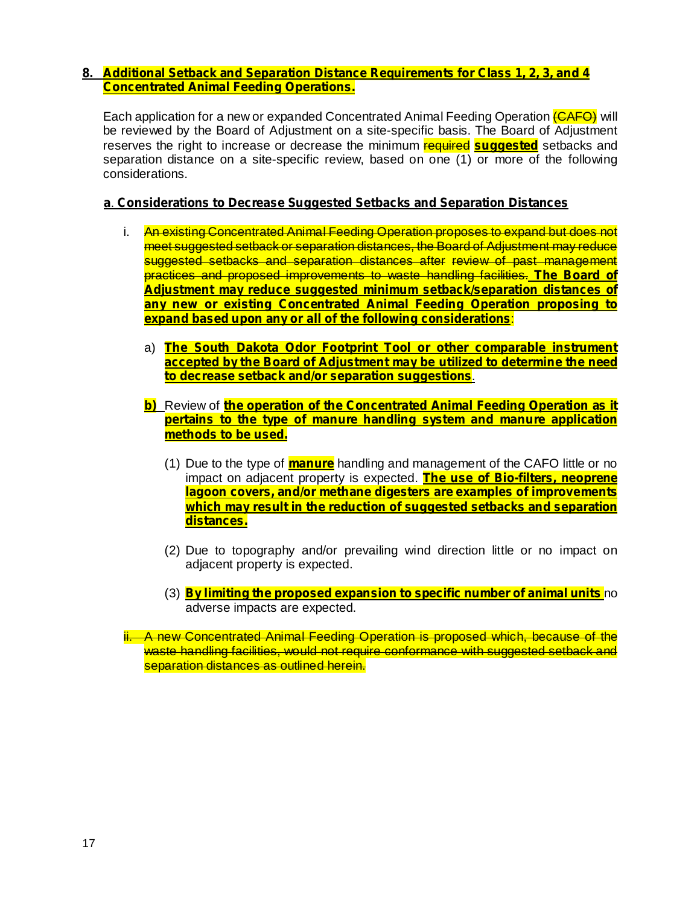## **8. Additional Setback and Separation Distance Requirements for Class 1, 2, 3, and 4 Concentrated Animal Feeding Operations.**

Each application for a new or expanded Concentrated Animal Feeding Operation (CAFO) will be reviewed by the Board of Adjustment on a site-specific basis. The Board of Adjustment reserves the right to increase or decrease the minimum **required suggested** setbacks and separation distance on a site-specific review, based on one (1) or more of the following considerations.

#### . **a Considerations to Decrease Suggested Setbacks and Separation Distances**

- i. An existing Concentrated Animal Feeding Operation proposes to expand but does not meet suggested setback or separation distances, the Board of Adjustment may reduce suggested setbacks and separation distances after review of past management practices and proposed improvements to waste handling facilities. **The Board of** : **expand based upon any or all of the following considerations Adjustment may reduce suggested minimum setback/separation distances of any new or existing Concentrated Animal Feeding Operation proposing to**
	- a) **The South Dakota Odor Footprint Tool or other comparable instrument** . **to decrease setback and/or separation suggestions accepted by the Board of Adjustment may be utilized to determine the need**
	- Review of **b) the operation of the Concentrated Animal Feeding Operation as it pertains to the type of manure handling system and manure application methods to be used.**
		- (1) Due to the type of **manure** handling and management of the CAFO little or no impact on adjacent property is expected. **The use of Bio-filters, neoprene lagoon covers, and/or methane digesters are examples of improvements which may result in the reduction of suggested setbacks and separation distances.**
		- (2) Due to topography and/or prevailing wind direction little or no impact on adjacent property is expected.
		- **(3) <mark>By limiting the proposed expansion to specific number of animal units** no</mark> adverse impacts are expected.

ii. A new Concentrated Animal Feeding Operation is proposed which, because of the waste handling facilities, would not require conformance with suggested setback and separation distances as outlined herein.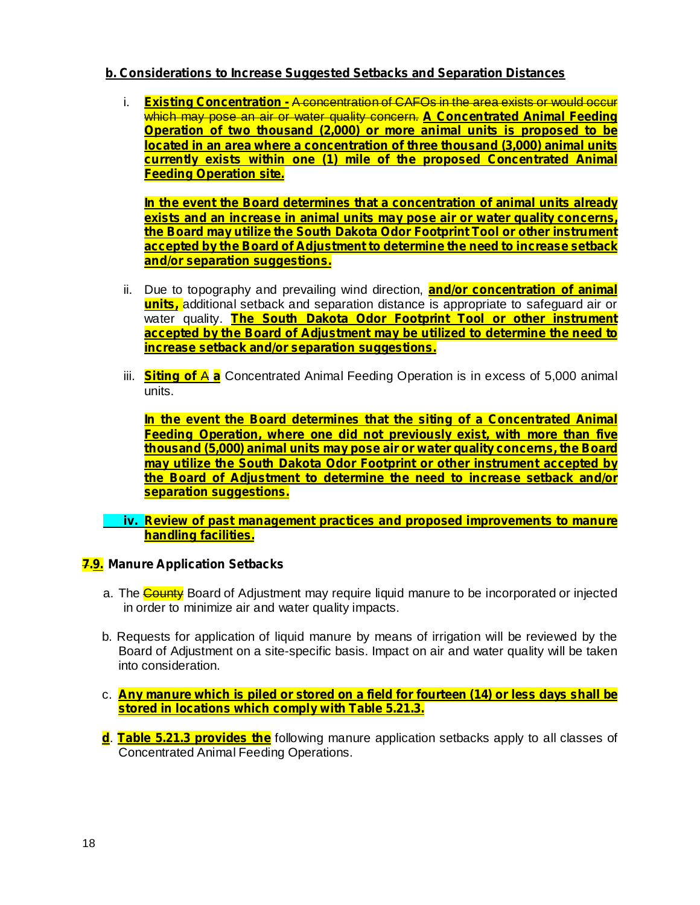## **b. Considerations to Increase Suggested Setbacks and Separation Distances**

i. <mark>Existing Concentration - A concentration of CAFOs in the area exists or would occur</mark> which may pose an air or water quality concern. **A Concentrated Animal Feeding Operation of two thousand (2,000) or more animal units is proposed to be located in an area where a concentration of three thousand (3,000) animal units currently exists within one (1) mile of the proposed Concentrated Animal Feeding Operation site.**

**In the event the Board determines that a concentration of animal units already exists and an increase in animal units may pose air or water quality concerns, the Board may utilize the South Dakota Odor Footprint Tool or other instrument accepted by the Board of Adjustment to determine the need to increase setback and/or separation suggestions.**

- ii. Due to topography and prevailing wind direction, **and/or concentration of animal units,** additional setback and separation distance is appropriate to safeguard air or water quality. **The South Dakota Odor Footprint Tool or other instrument accepted by the Board of Adjustment may be utilized to determine the need to increase setback and/or separation suggestions.**
- iii. Siting of A a Concentrated Animal Feeding Operation is in excess of 5,000 animal units.

**In the event the Board determines that the siting of a Concentrated Animal Feeding Operation, where one did not previously exist, with more than five thousand (5,000) animal units may pose air or water quality concerns, the Board may utilize the South Dakota Odor Footprint or other instrument accepted by the Board of Adjustment to determine the need to increase setback and/or separation suggestions.**

**iv. Review of past management practices and proposed improvements to manure handling facilities.**

#### **7.9. Manure Application Setbacks**

- a. The County Board of Adjustment may require liquid manure to be incorporated or injected in order to minimize air and water quality impacts.
- b. Requests for application of liquid manure by means of irrigation will be reviewed by the Board of Adjustment on a site-specific basis. Impact on air and water quality will be taken into consideration.
- c. **Any manure which is piled or stored on a field for fourteen (14) or less days shall be stored in locations which comply with Table 5.21.3.**
- **d**. Table 5.21.3 provides the following manure application setbacks apply to all classes of Concentrated Animal Feeding Operations.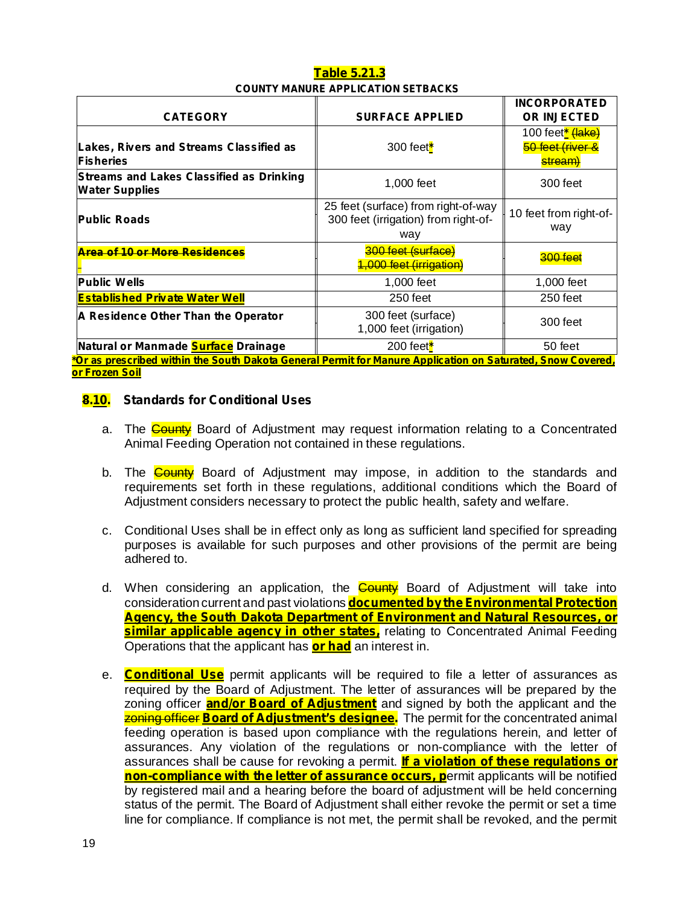## **Table 5.21.3 COUNTY MANURE APPLICATION SETBACKS**

|                                                                                                                               |                                                                                    | <b>INCORPORATED</b>                                                      |  |  |
|-------------------------------------------------------------------------------------------------------------------------------|------------------------------------------------------------------------------------|--------------------------------------------------------------------------|--|--|
| <b>CATEGORY</b>                                                                                                               | <b>SURFACE APPLIED</b>                                                             | <b>OR INJECTED</b>                                                       |  |  |
| <b>Lakes, Rivers and Streams Classified as</b><br><b>Fisheries</b>                                                            | 300 feet $*$                                                                       | 100 feet <mark>* <del>(lake)</del></mark><br>50 feet (river &<br>stream) |  |  |
| <b>Streams and Lakes Classified as Drinking</b><br><b>Water Supplies</b>                                                      | 1,000 feet                                                                         | 300 feet                                                                 |  |  |
| <b>Public Roads</b>                                                                                                           | 25 feet (surface) from right-of-way<br>300 feet (irrigation) from right-of-<br>way | 10 feet from right-of-<br>way                                            |  |  |
| Area of 10 or More Residences                                                                                                 | 300 feet (surface)<br>1,000 feet (irrigation)                                      | 200 feet                                                                 |  |  |
| <b>Public Wells</b>                                                                                                           | 1,000 feet                                                                         | 1,000 feet                                                               |  |  |
| <b>Established Private Water Well</b>                                                                                         | 250 feet                                                                           | $250$ feet                                                               |  |  |
| A Residence Other Than the Operator                                                                                           | 300 feet (surface)<br>1,000 feet (irrigation)                                      | 300 feet                                                                 |  |  |
| Natural or Manmade <b>Surface</b> Drainage                                                                                    | 200 feet $*$                                                                       | 50 feet                                                                  |  |  |
| <u><sup>*</sup>Or as prescribed within the South Dakota General Permit for Manure Application on Saturated, Snow Covered,</u> |                                                                                    |                                                                          |  |  |

**or Frozen Soil**

## **8.10. Standards for Conditional Uses**

- a. The **County** Board of Adjustment may request information relating to a Concentrated Animal Feeding Operation not contained in these regulations.
- b. The **County** Board of Adjustment may impose, in addition to the standards and requirements set forth in these regulations, additional conditions which the Board of Adjustment considers necessary to protect the public health, safety and welfare.
- c. Conditional Uses shall be in effect only as long as sufficient land specified for spreading purposes is available for such purposes and other provisions of the permit are being adhered to.
- d. When considering an application, the **County** Board of Adjustment will take into consideration current and past violations **documented by the Environmental Protection <u>similar applicable agency in other states,</u>** relating to Concentrated Animal Feeding Operations that the applicant has **or had** an interest in. **Agency, the South Dakota Department of Environment and Natural Resources, or**
- e. Conditional Use permit applicants will be required to file a letter of assurances as required by the Board of Adjustment. The letter of assurances will be prepared by the zoning officer **and/or Board of Adjustment** and signed by both the applicant and the **zoning officer Board of Adjustment's designee.** The permit for the concentrated animal feeding operation is based upon compliance with the regulations herein, and letter of assurances. Any violation of the regulations or non-compliance with the letter of assurances shall be cause for revoking a permit. **If a violation of these regulations or non-compliance with the letter of assurance occurs, p**ermit applicants will be notified by registered mail and a hearing before the board of adjustment will be held concerning status of the permit. The Board of Adjustment shall either revoke the permit or set a time line for compliance. If compliance is not met, the permit shall be revoked, and the permit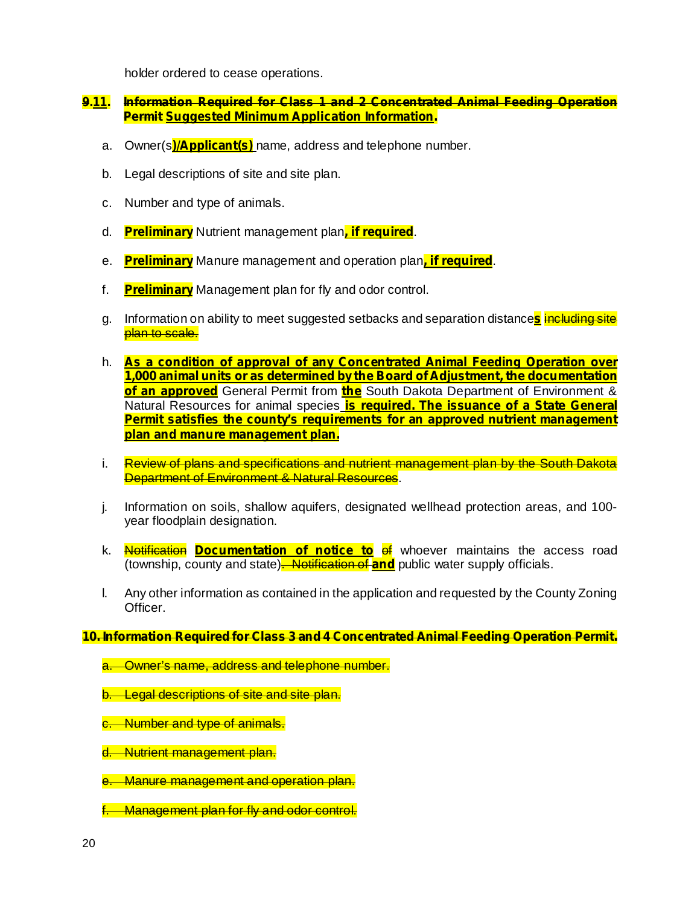holder ordered to cease operations.

## **9.11. Information Required for Class 1 and 2 Concentrated Animal Feeding Operation Permit Suggested Minimum Application Information.**

- a. Owner(s<mark>)/Applicant(s)</mark> name, address and telephone number.
- b. Legal descriptions of site and site plan.
- c. Number and type of animals.
- d. Preliminary Nutrient management plan, if required.
- e. Preliminary Manure management and operation plan, if required.
- f. Preliminary Management plan for fly and odor control.
- g. Information on ability to meet suggested setbacks and separation distance<mark>s</mark> i<del>ncluding site</del> plan to scale.
- h. **As a condition of approval of any Concentrated Animal Feeding Operation over <u>of an approved</u>** General Permit from *the* South Dakota Department of Environment & Natural Resources for animal species **is required. The issuance of a State General 1,000 animal units or as determined by the Board of Adjustment, the documentation Permit satisfies the county's requirements for an approved nutrient management plan and manure management plan.**
- i. Review of plans and specifications and nutrient management plan by the South Dakota Department of Environment & Natural Resources.
- j. Information on soils, shallow aquifers, designated wellhead protection areas, and 100 year floodplain designation.
- k. <mark>Notification Documentation of notice to</mark> of whoever maintains the access road (township, county and state)<del>. Notification of and</del> public water supply officials.
- l. Any other information as contained in the application and requested by the County Zoning Officer.

#### **10. Information Required for Class 3 and 4 Concentrated Animal Feeding Operation Permit.**

- a. Owner's name, address and telephone number.
- b. Legal descriptions of site and site plan.
- c. Number and type of animals.
- d. Nutrient management plan.
- e. Manure management and operation plan.
- Management plan for fly and odor control.